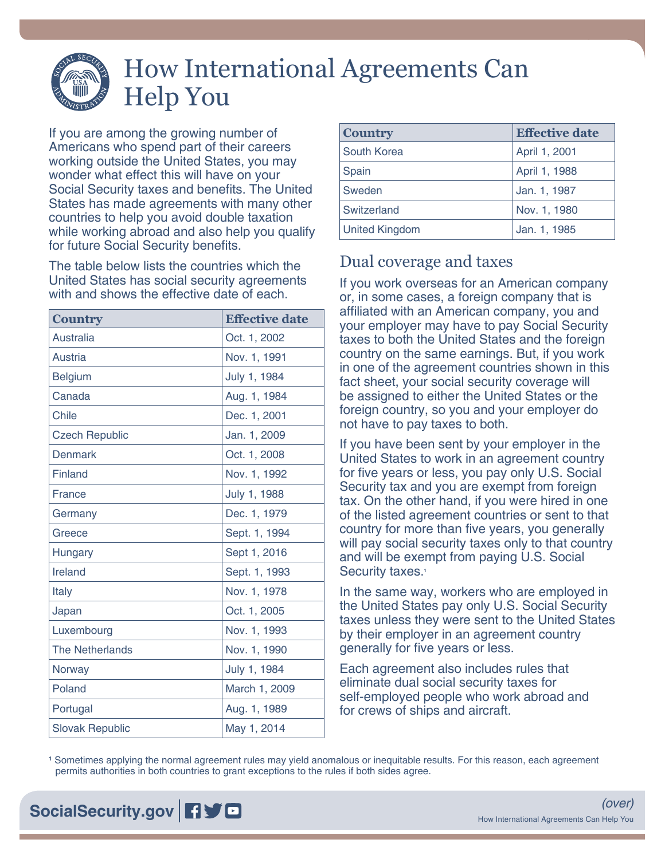# How International Agreements Can Help You

If you are among the growing number of Americans who spend part of their careers working outside the United States, you may wonder what effect this will have on your Social Security taxes and benefits. The United States has made agreements with many other countries to help you avoid double taxation while working abroad and also help you qualify for future Social Security benefits.

The table below lists the countries which the United States has social security agreements with and shows the effective date of each.

| <b>Country</b>         | <b>Effective date</b> |
|------------------------|-----------------------|
| <b>Australia</b>       | Oct. 1, 2002          |
| Austria                | Nov. 1, 1991          |
| <b>Belgium</b>         | July 1, 1984          |
| Canada                 | Aug. 1, 1984          |
| <b>Chile</b>           | Dec. 1, 2001          |
| <b>Czech Republic</b>  | Jan. 1, 2009          |
| <b>Denmark</b>         | Oct. 1, 2008          |
| <b>Finland</b>         | Nov. 1, 1992          |
| <b>France</b>          | July 1, 1988          |
| Germany                | Dec. 1, 1979          |
| Greece                 | Sept. 1, 1994         |
| Hungary                | Sept 1, 2016          |
| Ireland                | Sept. 1, 1993         |
| Italy                  | Nov. 1, 1978          |
| Japan                  | Oct. 1, 2005          |
| Luxembourg             | Nov. 1, 1993          |
| <b>The Netherlands</b> | Nov. 1, 1990          |
| Norway                 | July 1, 1984          |
| Poland                 | March 1, 2009         |
| Portugal               | Aug. 1, 1989          |
| <b>Slovak Republic</b> | May 1, 2014           |

| <b>Country</b>        | <b>Effective date</b> |
|-----------------------|-----------------------|
| South Korea           | April 1, 2001         |
| Spain                 | April 1, 1988         |
| Sweden                | Jan. 1, 1987          |
| Switzerland           | Nov. 1, 1980          |
| <b>United Kingdom</b> | Jan. 1, 1985          |

## Dual coverage and taxes

If you work overseas for an American company or, in some cases, a foreign company that is affiliated with an American company, you and your employer may have to pay Social Security taxes to both the United States and the foreign country on the same earnings. But, if you work in one of the agreement countries shown in this fact sheet, your social security coverage will be assigned to either the United States or the foreign country, so you and your employer do not have to pay taxes to both.

If you have been sent by your employer in the United States to work in an agreement country for five years or less, you pay only U.S. Social Security tax and you are exempt from foreign tax. On the other hand, if you were hired in one of the listed agreement countries or sent to that country for more than five years, you generally will pay social security taxes only to that country and will be exempt from paying U.S. Social Security taxes.<sup>1</sup>

In the same way, workers who are employed in the United States pay only U.S. Social Security taxes unless they were sent to the United States by their employer in an agreement country generally for five years or less.

Each agreement also includes rules that eliminate dual social security taxes for self-employed people who work abroad and for crews of ships and aircraft.

**1** Sometimes applying the normal agreement rules may yield anomalous or inequitable results. For this reason, each agreement permits authorities in both countries to grant exceptions to the rules if both sides agree.